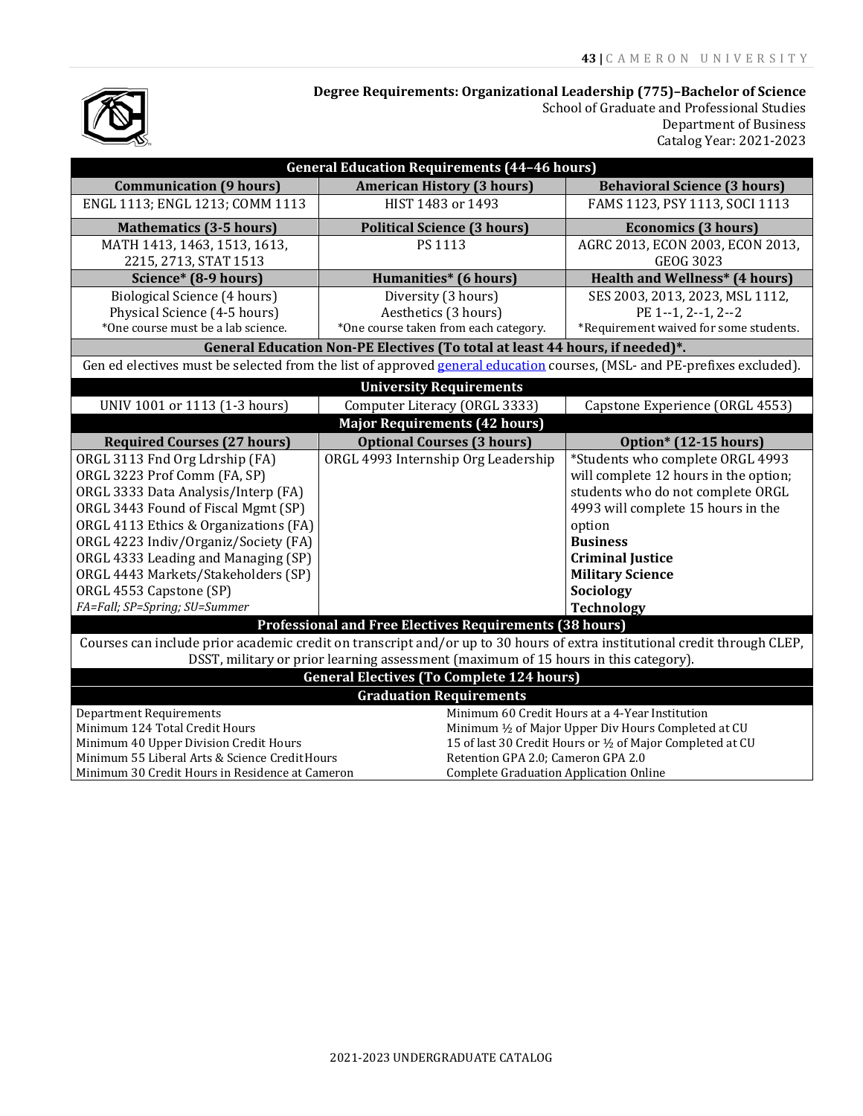## **Degree Requirements: Organizational Leadership (775)–Bachelor of Science**



School of Graduate and Professional Studies Department of Business Catalog Year: 2021-2023

| <b>General Education Requirements (44-46 hours)</b>                                                                       |                                                      |                                        |
|---------------------------------------------------------------------------------------------------------------------------|------------------------------------------------------|----------------------------------------|
| <b>Communication (9 hours)</b>                                                                                            | <b>American History (3 hours)</b>                    | <b>Behavioral Science (3 hours)</b>    |
| ENGL 1113; ENGL 1213; COMM 1113                                                                                           | HIST 1483 or 1493                                    | FAMS 1123, PSY 1113, SOCI 1113         |
| <b>Mathematics (3-5 hours)</b>                                                                                            | <b>Political Science (3 hours)</b>                   | <b>Economics (3 hours)</b>             |
| MATH 1413, 1463, 1513, 1613,                                                                                              | PS 1113                                              | AGRC 2013, ECON 2003, ECON 2013,       |
| 2215, 2713, STAT 1513                                                                                                     |                                                      | <b>GEOG 3023</b>                       |
| Science* (8-9 hours)                                                                                                      | <b>Humanities*</b> (6 hours)                         | <b>Health and Wellness* (4 hours)</b>  |
| Biological Science (4 hours)                                                                                              | Diversity (3 hours)                                  | SES 2003, 2013, 2023, MSL 1112,        |
| Physical Science (4-5 hours)                                                                                              | Aesthetics (3 hours)                                 | PE 1--1, 2--1, 2--2                    |
| *One course must be a lab science.                                                                                        | *One course taken from each category.                | *Requirement waived for some students. |
| General Education Non-PE Electives (To total at least 44 hours, if needed)*.                                              |                                                      |                                        |
| Gen ed electives must be selected from the list of approved general education courses, (MSL- and PE-prefixes excluded).   |                                                      |                                        |
| <b>University Requirements</b>                                                                                            |                                                      |                                        |
| UNIV 1001 or 1113 (1-3 hours)                                                                                             | Computer Literacy (ORGL 3333)                        | Capstone Experience (ORGL 4553)        |
| <b>Major Requirements (42 hours)</b>                                                                                      |                                                      |                                        |
| <b>Required Courses (27 hours)</b>                                                                                        | <b>Optional Courses (3 hours)</b>                    | Option* (12-15 hours)                  |
| ORGL 3113 Fnd Org Ldrship (FA)                                                                                            | ORGL 4993 Internship Org Leadership                  | *Students who complete ORGL 4993       |
| ORGL 3223 Prof Comm (FA, SP)                                                                                              |                                                      | will complete 12 hours in the option;  |
| ORGL 3333 Data Analysis/Interp (FA)                                                                                       |                                                      | students who do not complete ORGL      |
| ORGL 3443 Found of Fiscal Mgmt (SP)                                                                                       |                                                      | 4993 will complete 15 hours in the     |
| ORGL 4113 Ethics & Organizations (FA)                                                                                     |                                                      | option                                 |
| ORGL 4223 Indiv/Organiz/Society (FA)                                                                                      |                                                      | <b>Business</b>                        |
| ORGL 4333 Leading and Managing (SP)                                                                                       |                                                      | <b>Criminal Justice</b>                |
| ORGL 4443 Markets/Stakeholders (SP)                                                                                       |                                                      | <b>Military Science</b>                |
| ORGL 4553 Capstone (SP)                                                                                                   |                                                      | Sociology                              |
| FA=Fall; SP=Spring; SU=Summer                                                                                             |                                                      | <b>Technology</b>                      |
| <b>Professional and Free Electives Requirements (38 hours)</b>                                                            |                                                      |                                        |
| Courses can include prior academic credit on transcript and/or up to 30 hours of extra institutional credit through CLEP, |                                                      |                                        |
| DSST, military or prior learning assessment (maximum of 15 hours in this category).                                       |                                                      |                                        |
| <b>General Electives (To Complete 124 hours)</b>                                                                          |                                                      |                                        |
| <b>Graduation Requirements</b>                                                                                            |                                                      |                                        |
| <b>Department Requirements</b>                                                                                            | Minimum 60 Credit Hours at a 4-Year Institution      |                                        |
| Minimum 124 Total Credit Hours                                                                                            | Minimum 1/2 of Major Upper Div Hours Completed at CU |                                        |
| Minimum 40 Upper Division Credit Hours<br>15 of last 30 Credit Hours or 1/2 of Major Completed at CU                      |                                                      |                                        |
| Minimum 55 Liberal Arts & Science Credit Hours                                                                            |                                                      | Retention GPA 2.0; Cameron GPA 2.0     |
| Minimum 30 Credit Hours in Residence at Cameron                                                                           | <b>Complete Graduation Application Online</b>        |                                        |